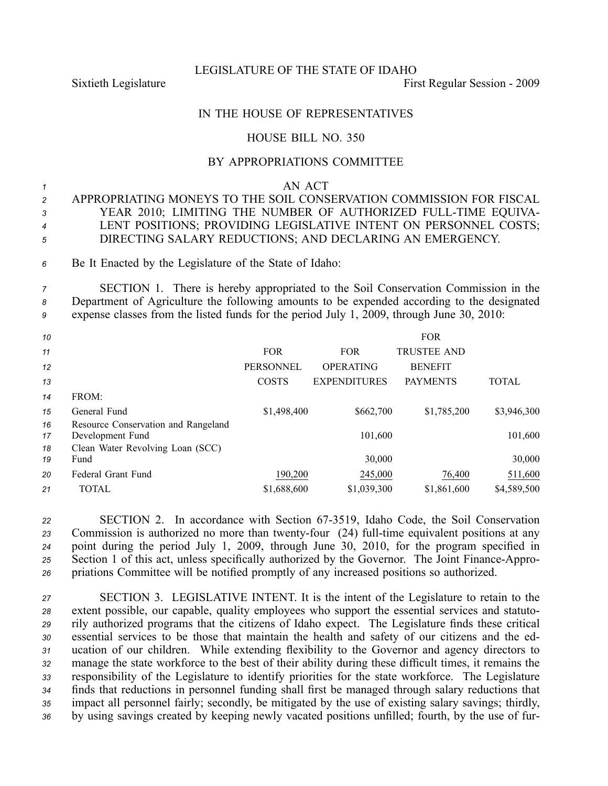LEGISLATURE OF THE STATE OF IDAHO

Sixtieth Legislature First Regular Session - 2009

## IN THE HOUSE OF REPRESENTATIVES

## HOUSE BILL NO. 350

## BY APPROPRIATIONS COMMITTEE

*1* AN ACT

## *<sup>2</sup>* APPROPRIATING MONEYS TO THE SOIL CONSERVATION COMMISSION FOR FISCAL *<sup>3</sup>* YEAR 2010; LIMITING THE NUMBER OF AUTHORIZED FULLTIME EQUIVA-*<sup>4</sup>* LENT POSITIONS; PROVIDING LEGISLATIVE INTENT ON PERSONNEL COSTS; *<sup>5</sup>* DIRECTING SALARY REDUCTIONS; AND DECLARING AN EMERGENCY.

*<sup>6</sup>* Be It Enacted by the Legislature of the State of Idaho:

*<sup>7</sup>* SECTION 1. There is hereby appropriated to the Soil Conservation Commission in the *<sup>8</sup>* Department of Agriculture the following amounts to be expended according to the designated *<sup>9</sup>* expense classes from the listed funds for the period July 1, 2009, through June 30, 2010:

| 10       |                                                         |                  |                     | <b>FOR</b>         |              |
|----------|---------------------------------------------------------|------------------|---------------------|--------------------|--------------|
| 11       |                                                         | <b>FOR</b>       | <b>FOR</b>          | <b>TRUSTEE AND</b> |              |
| 12       |                                                         | <b>PERSONNEL</b> | <b>OPERATING</b>    | <b>BENEFIT</b>     |              |
| 13       |                                                         | <b>COSTS</b>     | <b>EXPENDITURES</b> | <b>PAYMENTS</b>    | <b>TOTAL</b> |
| 14       | FROM:                                                   |                  |                     |                    |              |
| 15       | General Fund                                            | \$1,498,400      | \$662,700           | \$1,785,200        | \$3,946,300  |
| 16<br>17 | Resource Conservation and Rangeland<br>Development Fund |                  | 101,600             |                    | 101,600      |
| 18<br>19 | Clean Water Revolving Loan (SCC)<br>Fund                |                  | 30,000              |                    | 30,000       |
| 20       | Federal Grant Fund                                      | 190,200          | 245,000             | 76,400             | 511,600      |
| 21       | <b>TOTAL</b>                                            | \$1,688,600      | \$1,039,300         | \$1,861,600        | \$4,589,500  |

*<sup>22</sup>* SECTION 2. In accordance with Section 673519, Idaho Code, the Soil Conservation 23 Commission is authorized no more than twenty-four (24) full-time equivalent positions at any *<sup>24</sup>* point during the period July 1, 2009, through June 30, 2010, for the program specified in 25 Section 1 of this act, unless specifically authorized by the Governor. The Joint Finance-Appro-*<sup>26</sup>* priations Committee will be notified promptly of any increased positions so authorized.

 SECTION 3. LEGISLATIVE INTENT. It is the intent of the Legislature to retain to the extent possible, our capable, quality employees who suppor<sup>t</sup> the essential services and statuto- rily authorized programs that the citizens of Idaho expect. The Legislature finds these critical essential services to be those that maintain the health and safety of our citizens and the ed- ucation of our children. While extending flexibility to the Governor and agency directors to manage the state workforce to the best of their ability during these difficult times, it remains the responsibility of the Legislature to identify priorities for the state workforce. The Legislature finds that reductions in personnel funding shall first be managed through salary reductions that impact all personnel fairly; secondly, be mitigated by the use of existing salary savings; thirdly, by using savings created by keeping newly vacated positions unfilled; fourth, by the use of fur